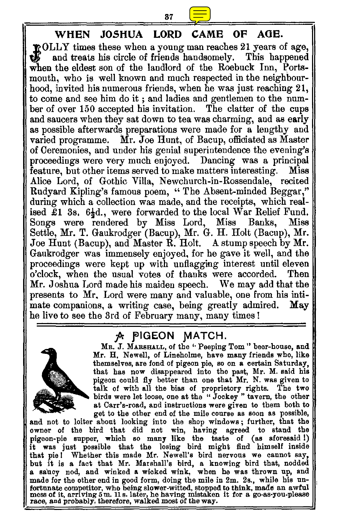## **WHEN JOSHUA LORD CAME OF AGE.**

**OLLY** times these when a young man reaches 21 years of age, and treats his circle of friends handsomely. This happened when the eldest son of the landlord of the Roebuck Inn. Portsmouth, who is well known and much respected in the neighbourhood, invited his numerous friends, when he was just reaching 21, to come and see him do it ; and ladies and gentlemen to the number of over 150 accepted his invitation. The clatter of the cups and saucers when they sat down to tea was charming, and as early as possible afterwards preparations were made for a lengthy and varied programme. Mr. Joe Hunt, of Bacup, officiated as Master of Ceremonies, and under his genial superintendence the evening's proceedings were very much enjoyed. Dancing was a principal feature, but other items served to make matters interesting. Alice Lord, of Gothic Villa, Newchurch-in-Rossendale, recited Rudyard Kipling's famous poem, " The Absent-minded Beggar," during which a collection was made, and the receipts, which realised £1 3s. 6<sup>1</sup><sub>2</sub>d., were forwarded to the local War Relief Fund.<br>Songs were rendered by Miss Lord, Miss Banks. Miss Songs were rendered by Miss Lord, Miss Banks, Settle, Mr. T. Gaukrodger (Bacup), Mr. G. H. Holt (Bacup), Mr. Joe Hunt (Bacup), and Master R. Holt. A stump speech by Mr. Gaukrodger was immensely enjoyed, for he gave it well, and the proceedings were kept up with unflagging interest until eleven o'clock, when the usual votes of thanks were accorded. Then Mr. Joshua Lord made his maiden speech. We may add that the presents to Mr, Lord were many and valuable, one from his intimate companions, a writing case, being greatly admired. May mate companions, a writing case, being greatly admired. he live to see the 3rd of February many, many times I

## 7^ **PIGEON MATCH.**



**Ma.** J. **MARSHALL,** of the '• Peeping Tom " beer-house, and Mr. H. Newell, of Lineholme, have many friends who, like themselves, are fond of pigeon pie, so on a certain Saturday, that has now disappeared into the past, Mr. M. said his pigeon could fly better than one that Mr. N. was given to talk of with all the bias of proprietory rights. The two birds were let loose, one at the " Jockey " tavern, the other at Carr's-road, and instructions were given to them both to get to the other end of the mile course as soon as possible,

and not to loiter about looking into the shop windows ; further, that the owner of the bird that did not win, having agreed to stand the pigeon-pie supper, which so many like the taste of (as aforesaid I) it was just possible that the losing bird might find himself inside that pie! Whether this made Mr. Newell's bird nervous we cannot say, but it is a fact that Mr. Marshall's bird, a knowing bird that, nodded a saucy nod, and winked a wicked wink, when he was thrown up, and made for the other end in good form, doing the mile in 2m. 2s., while his unfortunate competitor, who being slower-witted, stopped to think, made an awful mess of it, arriving 5 m. 11 s. later, he having mistaken it for a go-as-you-please race, and probably, therefore, walked most of the way.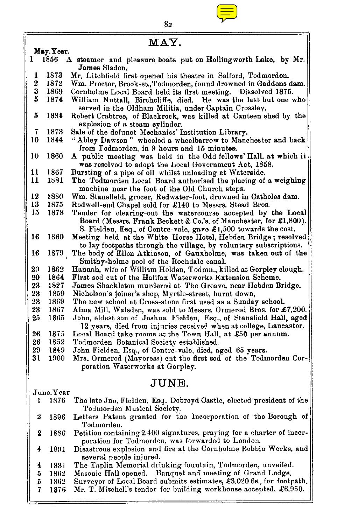

| MAY.           |           |                                                                                                                                                                                                        |  |
|----------------|-----------|--------------------------------------------------------------------------------------------------------------------------------------------------------------------------------------------------------|--|
| May. Year.     |           |                                                                                                                                                                                                        |  |
| 1              | 1856      | A steamer and pleasure boats put on Hollingworth Lake, by Mr.<br>James Sladen.                                                                                                                         |  |
| 1              | 1873      | Mr. Litchfield first opened his theatre in Salford, Todmorden.                                                                                                                                         |  |
| $\overline{2}$ | 1872      | Wm. Proctor, Brook-st., Todmorden, found drowned in Gaddens dam.                                                                                                                                       |  |
| 3              | 1869      | Cornholme Local Board held its first meeting. Dissolved 1875.                                                                                                                                          |  |
| 5              | 1874      | William Nuttall, Birchcliffe, died. He was the last but one who                                                                                                                                        |  |
|                |           | served in the Oldham Militia, under Captain Crossley.                                                                                                                                                  |  |
| ñ              | 1884      | Robert Crabtree, of Blackrock, was killed at Canteen shed by the<br>explosion of a steam cylinder.                                                                                                     |  |
| 7              | 1873      | Sale of the defunct Mechanics' Institution Library.                                                                                                                                                    |  |
| 10             | 1844      | "Abley Dawson" wheeled a wheelbarrow to Manchester and back                                                                                                                                            |  |
|                |           | from Todmorden, in 9 hours and 15 minutes.                                                                                                                                                             |  |
| 10             | 1860      | A public meeting was held in the Odd fellows' Hall, at which it<br>was resolved to adopt the Local Government Act, 1858.                                                                               |  |
| 11             | 1867      | Bursting of a pipe of oil whilst unloading at Waterside.                                                                                                                                               |  |
| 11             | 1881      | The Todmorden Local Board authorised the placing of a weighing<br>machine near the foot of the Old Church steps.                                                                                       |  |
| 12             | 1880      | Wm. Stansfield, grocer, Redwater-foot, drowned in Catholes dam.                                                                                                                                        |  |
| 13             | 1875      | Rodwell-end Chapel sold for £140 to Messrs. Stead Bros.                                                                                                                                                |  |
| 15             | 1878      | Tender for clearing-out the watercourse accepted by the Local<br>Board (Messrs. Frank Beckett & Co.'s, of Manchester, for £1,800).                                                                     |  |
| 16             | 1860      | S. Fielden, Esq., of Centre-vale, gave £1,500 towards the cost.<br>Meeting held at the White Horse Hotel, Hebden Bridge; resolved<br>to lay footpaths through the village, by voluntary subscriptions. |  |
| 16             | 1879      | The body of Ellen Atkinson, of Gauxholme, was taken out of the<br>Smithy-holme pool of the Rochdale canal.                                                                                             |  |
| 20             | 1862      | Hannah, wife of William Holden, Todmn., killed at Gorpley clough.                                                                                                                                      |  |
| 20             | 1864      | First sod cut of the Halifax Waterworks Extension Scheme.                                                                                                                                              |  |
| 23             | 1827      | James Shackleton murdered at The Greave, near Hebden Bridge.                                                                                                                                           |  |
| 23             | 1859      | Nicholson's joiner's shop, Myrtle-street, burnt down,                                                                                                                                                  |  |
| 23             | 1869      | The new school at Cross-stone first used as a Sunday school.                                                                                                                                           |  |
| 23             | 1867      | Alma Mill, Walsden, was sold to Messrs. Ormerod Bros. for £7,200.                                                                                                                                      |  |
| 25             | 1865      | John, eldest son of Joshua Fielden, Esq., of Stansfield Hall, aged<br>12 years, died from injuries received when at college, Lancaster.                                                                |  |
| 26             | 1875      | Local Board take rooms at the Town Hall, at £50 per annum.                                                                                                                                             |  |
| 26             | 1852      | Todmorden Botanical Society established.                                                                                                                                                               |  |
| 29             | 1849      | John Fielden, Esq., of Centre-vale, died, aged 65 years.                                                                                                                                               |  |
| 31             | 1900      | Mrs. Ormerod (Mayoress) cnt the first sod of the Todmorden Cor-<br>poration Waterworks at Gorpley.                                                                                                     |  |
| JUNE.          |           |                                                                                                                                                                                                        |  |
|                | June.Year |                                                                                                                                                                                                        |  |
| ı              | 1876      | The late Jno. Fielden, Esq., Dobroyd Castle, elected president of the<br>Todmorden Musical Society.                                                                                                    |  |
| 2              | 1896      | Letters Patent granted for the Incorporation of the Borough of                                                                                                                                         |  |

Todmorden. **2** 1886 Petition containing 2,400 signatures, praying for a charter of incorporation for Todmorden, was forwarded to London.

4 1891 Disastrous explosion and fire at the Cornholme Bobbin Works, and several people injured.

4 1831 The Taplin Memorial drinking fountain, Todmorden, unveiled.

- 5 1862 Masonic Hall opened. Banquet and meeting of Grand Lodge.<br>5 1862 Surveyor of Local Board submits estimates, £3,0206s., for foot; 5 1862 Surveyor of Local Board submits estimates, £3,020 6s., for footpath.<br>7 1876 Mr. T. Mitchell's tender for building workhouse accepted, £6,950.
- Mr. T. Mitchell's tender for building workhouse accepted, £6,950.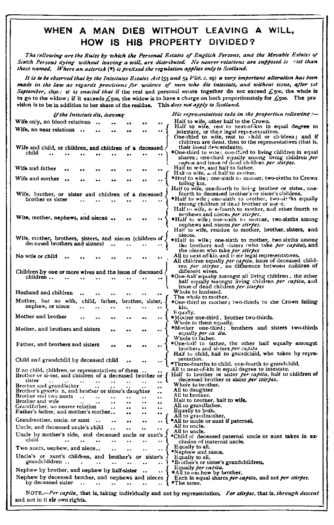## **WHEN A MAN DIES WITHOUT LEAVING A WILL, HOW IS HIS PROPERTY DIVIDED?**

*The /following are the Rules by which the Personal Estates of English Persons, and the Movable Estates of*  Scotch Persons dying without leaving a will, are distributed. No nearer relations are supposed to vist than those named. Where an asterisk (\*) is prefixed the regulation applies only to Scotland.

*It is to be observed that by the Intestates Estates Act* (53 and 54 *Yid. c.* 09) *a very important alteration has been*  made in the law as regards provisions for widows of men who die intestate, and without issue, after 1st September, 1890: it is *enacted that* if the real and personal estate together do not exceed £500, the whole is to go to the widow; if it exceeds  $£500$ , the widow is to have a charge on both proportionately for  $£500$ . The pro vision is to be in addition to her share of the residue. This *does not apply to Scotland* 

| If the Intestate die, leaving                                                                                | His representatives take in the proportion tollowing :—                                                                                                              |  |  |  |
|--------------------------------------------------------------------------------------------------------------|----------------------------------------------------------------------------------------------------------------------------------------------------------------------|--|--|--|
| Wife only, no blood relations                                                                                | Half to wife, other half to the Crown.                                                                                                                               |  |  |  |
| Wife, no near relations<br>                                                                                  | Half to wife, rest to next-of-kin in equal degree to<br>intestate, or their legal representatives.                                                                   |  |  |  |
|                                                                                                              | One-third to wife, rest to child or children; and if<br>children are dead, then to the representatives (that is,                                                     |  |  |  |
| Wife and child, or children, and children of a deceased,                                                     | their lineal descendants).                                                                                                                                           |  |  |  |
| child                                                                                                        | *One-third to wite; one-third to living children in equal<br>shares; one-third equally among living children per                                                     |  |  |  |
| Wife and father                                                                                              | capua and issue of dead children per stirpes.<br>Haif to wife, and half to father.<br>Half to wife, and half to mother.                                              |  |  |  |
| Wife and mother                                                                                              | *Haif to wife; one-sixth to mother, two-sixths to Crown                                                                                                              |  |  |  |
|                                                                                                              | failing kin.<br>Half to wife, one-fourth to living brother or sister, one-                                                                                           |  |  |  |
| Wife, brother, or sister and children of a deceased                                                          | fourth to deceased brother's or sister's children.                                                                                                                   |  |  |  |
| brother or sister                                                                                            | *Half to wife; one-sixth to urother, two-si. ths equally<br>among children of dead brother or sister.<br>Half to wife, $o_i$ e-fourth to mother, and other fourth to |  |  |  |
|                                                                                                              | nephews and nieces per stirpes.                                                                                                                                      |  |  |  |
| Wite, mother, nephews, and nieces                                                                            | *Half to wife; one-sixth to mother, two-sixths among<br>nephews and nieces per stirpes.                                                                              |  |  |  |
|                                                                                                              | Half to wife, residue to mother, brother, sisters, and                                                                                                               |  |  |  |
| Wife, mother, brothers, sisters, and nieces (children of,                                                    | nieces.                                                                                                                                                              |  |  |  |
| deceased brothers and sisters)                                                                               | *Half to wife; one-sixth to mother, two sixths among<br>the brothers and sisters (who take per capita), and                                                          |  |  |  |
|                                                                                                              | the nieces who take per stirpes                                                                                                                                      |  |  |  |
| No wife or child                                                                                             | All to next-of-kin and to eir legal representatives.<br>All children equally per capita, issue of deceased child-                                                    |  |  |  |
|                                                                                                              | ren per stirpes, no difference between children of                                                                                                                   |  |  |  |
| Children by one or more wives and the issue of deceased<br>children                                          | different wives.<br>*One-half equally amongst all living children, the other                                                                                         |  |  |  |
|                                                                                                              | half equally amongst living children per capita, and<br>issue of dead children per starpes                                                                           |  |  |  |
| Husband and children<br>$\ddot{\phantom{a}}$                                                                 | Whole to husband.                                                                                                                                                    |  |  |  |
| Mother, but no wife, child, father,<br>brother, sister,                                                      | The whole to mother.<br>*One-third to mother; two-thirds to the Crown failing                                                                                        |  |  |  |
| nephew, or niece<br>                                                                                         | kin.                                                                                                                                                                 |  |  |  |
| Mother and brother                                                                                           | Equally.<br>*Mother one-third , brother two-thirds.                                                                                                                  |  |  |  |
| Mother, and brothers and sisters<br>                                                                         | Whole to them equally.<br>*Mother one-third; brothers and sisters two-thirds                                                                                         |  |  |  |
|                                                                                                              | equally per ca ita.<br>Whole to father.                                                                                                                              |  |  |  |
| Father, and brothers and sisters<br>                                                                         | *One-half to tather, the other half equally amongst<br>brothers and si-ters per capita                                                                               |  |  |  |
|                                                                                                              | Half to child, half to grandchild, who takes by repre-                                                                                                               |  |  |  |
| Child and grandchild by deceased child                                                                       | sentation.<br>*Three-fourths to child, one-fourth to grandchild.                                                                                                     |  |  |  |
| If no child, children, or representatives of them.                                                           | All to next-of-kin in equal degree to intestate.                                                                                                                     |  |  |  |
| Brother or sister, and children of a deceased brother or                                                     | Half to brother or sister per capita, half to children of                                                                                                            |  |  |  |
| sister<br>$\ddot{\phantom{0}}$<br>$\cdot$ .<br>$\ddot{\phantom{0}}$<br><br>Brother and grandfather           | deceased brother or sister per stirpes.<br>Whole to brother.                                                                                                         |  |  |  |
| Brother's grantls n, and brother or sister's daughter                                                        | All to daughter                                                                                                                                                      |  |  |  |
| Brother and two aunts<br>$\cdot$ .<br>$\cdot$<br><br>                                                        | All to brother.                                                                                                                                                      |  |  |  |
| Brother and wife<br>٠.<br><br>٠.<br><br>Grandfather, no nearer relation                                      | Halt to brother, half to wife.<br>All to grandfather.                                                                                                                |  |  |  |
| <br><br><br>Father's father, and mother's mother<br><br>                                                     | Equally to both.                                                                                                                                                     |  |  |  |
| Grandmother, uncle, or aunt<br><br>٠.                                                                        | All to grandmother.<br>*All to uncle or aunt if paternal,                                                                                                            |  |  |  |
| Uncle, and deceased uncle's child<br><br><br>                                                                | All to uncle.                                                                                                                                                        |  |  |  |
| Uncle by mother's side, and deceased uncle or aunt's J                                                       | All to uncle.                                                                                                                                                        |  |  |  |
| chıld                                                                                                        | *Child of deceased paternal uncle or aunt takes in ex-<br>clusion of maternal uncle.                                                                                 |  |  |  |
| Two aunts, nephew, and niece<br>$\ddot{\phantom{a}}$<br>$\bullet$ $\bullet$<br>                              | Equally to all.                                                                                                                                                      |  |  |  |
| Uncle's or aunt's children, and brother's or sister's                                                        | *Nephew and niece.<br>Equally to all.                                                                                                                                |  |  |  |
| grandchildren<br>$\bullet$<br>.,<br>                                                                         | "Brother's or sister's grandchildren.                                                                                                                                |  |  |  |
| Nephew by brother, and nephew by half-sister<br>$\ddotsc$<br>$\ddot{\phantom{0}}$                            | Equally per capita.                                                                                                                                                  |  |  |  |
| Nephew by becaused brother, and nephews and nieces {<br>Nephew by decessed brother, and nephews and nieces { | *All to net hew by brother.<br>Each in equal shares <i>per capita</i> , and not <i>per stirpes</i> .                                                                 |  |  |  |
| *The same.                                                                                                   |                                                                                                                                                                      |  |  |  |
|                                                                                                              | NOTE.-Per capita, that is, taking individually and not by representation. Fer stirpes, that is, through descent                                                      |  |  |  |
| and not in their own rights.                                                                                 |                                                                                                                                                                      |  |  |  |